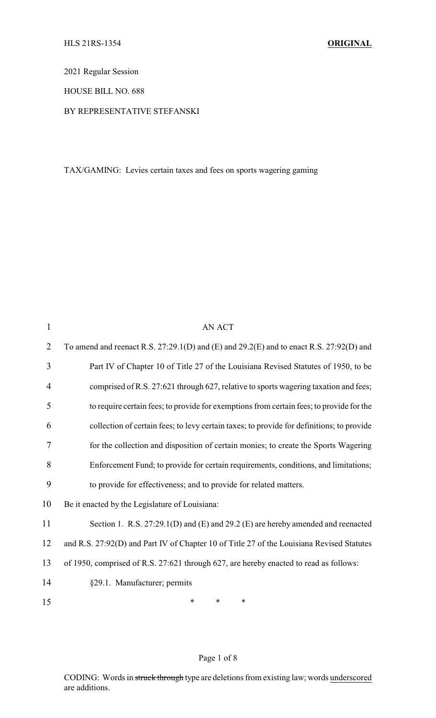2021 Regular Session

HOUSE BILL NO. 688

#### BY REPRESENTATIVE STEFANSKI

TAX/GAMING: Levies certain taxes and fees on sports wagering gaming

| 1              | <b>AN ACT</b>                                                                             |
|----------------|-------------------------------------------------------------------------------------------|
| $\overline{2}$ | To amend and reenact R.S. 27:29.1(D) and (E) and 29.2(E) and to enact R.S. 27:92(D) and   |
| 3              | Part IV of Chapter 10 of Title 27 of the Louisiana Revised Statutes of 1950, to be        |
| 4              | comprised of R.S. 27:621 through 627, relative to sports wagering taxation and fees;      |
| 5              | to require certain fees; to provide for exemptions from certain fees; to provide for the  |
| 6              | collection of certain fees; to levy certain taxes; to provide for definitions; to provide |
| 7              | for the collection and disposition of certain monies; to create the Sports Wagering       |
| 8              | Enforcement Fund; to provide for certain requirements, conditions, and limitations;       |
| 9              | to provide for effectiveness; and to provide for related matters.                         |
| 10             | Be it enacted by the Legislature of Louisiana:                                            |
| 11             | Section 1. R.S. 27:29.1(D) and (E) and 29.2 (E) are hereby amended and reenacted          |
| 12             | and R.S. 27:92(D) and Part IV of Chapter 10 of Title 27 of the Louisiana Revised Statutes |
| 13             | of 1950, comprised of R.S. 27:621 through 627, are hereby enacted to read as follows:     |
| 14             | §29.1. Manufacturer; permits                                                              |
| 15             | *<br>∗<br>*                                                                               |
|                |                                                                                           |

### Page 1 of 8

CODING: Words in struck through type are deletions from existing law; words underscored are additions.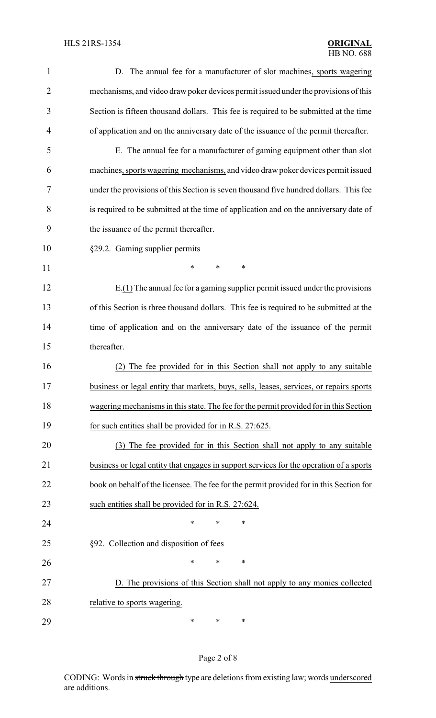| 1              | D. The annual fee for a manufacturer of slot machines, sports wagering                  |  |  |  |  |
|----------------|-----------------------------------------------------------------------------------------|--|--|--|--|
| $\overline{2}$ | mechanisms, and video draw poker devices permit issued under the provisions of this     |  |  |  |  |
| 3              | Section is fifteen thousand dollars. This fee is required to be submitted at the time   |  |  |  |  |
| 4              | of application and on the anniversary date of the issuance of the permit thereafter.    |  |  |  |  |
| 5              | E. The annual fee for a manufacturer of gaming equipment other than slot                |  |  |  |  |
| 6              | machines, sports wagering mechanisms, and video draw poker devices permit issued        |  |  |  |  |
| 7              | under the provisions of this Section is seven thousand five hundred dollars. This fee   |  |  |  |  |
| 8              | is required to be submitted at the time of application and on the anniversary date of   |  |  |  |  |
| 9              | the issuance of the permit thereafter.                                                  |  |  |  |  |
| 10             | §29.2. Gaming supplier permits                                                          |  |  |  |  |
| 11             | $\ast$<br>*<br>∗                                                                        |  |  |  |  |
| 12             | $E(1)$ The annual fee for a gaming supplier permit issued under the provisions          |  |  |  |  |
| 13             | of this Section is three thousand dollars. This fee is required to be submitted at the  |  |  |  |  |
| 14             | time of application and on the anniversary date of the issuance of the permit           |  |  |  |  |
| 15             | thereafter.                                                                             |  |  |  |  |
| 16             | (2) The fee provided for in this Section shall not apply to any suitable                |  |  |  |  |
| 17             | business or legal entity that markets, buys, sells, leases, services, or repairs sports |  |  |  |  |
| 18             | wagering mechanisms in this state. The fee for the permit provided for in this Section  |  |  |  |  |
| 19             | for such entities shall be provided for in R.S. 27:625.                                 |  |  |  |  |
| 20             | (3) The fee provided for in this Section shall not apply to any suitable                |  |  |  |  |
| 21             | business or legal entity that engages in support services for the operation of a sports |  |  |  |  |
| 22             | book on behalf of the licensee. The fee for the permit provided for in this Section for |  |  |  |  |
| 23             | such entities shall be provided for in R.S. 27:624.                                     |  |  |  |  |
| 24             | ∗<br>*<br>∗                                                                             |  |  |  |  |
| 25             | §92. Collection and disposition of fees                                                 |  |  |  |  |
| 26             | $\ast$<br>$\ast$<br>∗                                                                   |  |  |  |  |
| 27             | D. The provisions of this Section shall not apply to any monies collected               |  |  |  |  |
| 28             | relative to sports wagering.                                                            |  |  |  |  |
| 29             | ∗<br>$\ast$<br>∗                                                                        |  |  |  |  |

# Page 2 of 8

CODING: Words in struck through type are deletions from existing law; words underscored are additions.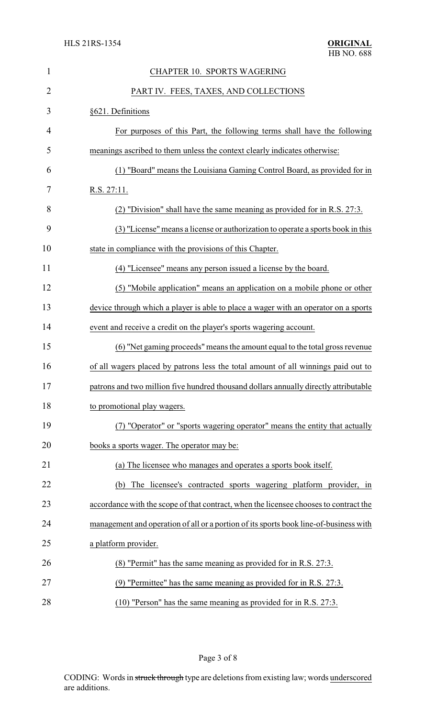| $\mathbf{1}$   | <b>CHAPTER 10. SPORTS WAGERING</b>                                                    |
|----------------|---------------------------------------------------------------------------------------|
| $\overline{2}$ | PART IV. FEES, TAXES, AND COLLECTIONS                                                 |
| 3              | §621. Definitions                                                                     |
| 4              | For purposes of this Part, the following terms shall have the following               |
| 5              | meanings ascribed to them unless the context clearly indicates otherwise:             |
| 6              | (1) "Board" means the Louisiana Gaming Control Board, as provided for in              |
| 7              | R.S. 27:11.                                                                           |
| 8              | (2) "Division" shall have the same meaning as provided for in R.S. 27:3.              |
| 9              | (3) "License" means a license or authorization to operate a sports book in this       |
| 10             | state in compliance with the provisions of this Chapter.                              |
| 11             | (4) "Licensee" means any person issued a license by the board.                        |
| 12             | (5) "Mobile application" means an application on a mobile phone or other              |
| 13             | device through which a player is able to place a wager with an operator on a sports   |
| 14             | event and receive a credit on the player's sports wagering account.                   |
| 15             | (6) "Net gaming proceeds" means the amount equal to the total gross revenue           |
| 16             | of all wagers placed by patrons less the total amount of all winnings paid out to     |
| 17             | patrons and two million five hundred thousand dollars annually directly attributable  |
| 18             | to promotional play wagers.                                                           |
| 19             | (7) "Operator" or "sports wagering operator" means the entity that actually           |
| 20             | books a sports wager. The operator may be:                                            |
| 21             | (a) The licensee who manages and operates a sports book itself.                       |
| 22             | The licensee's contracted sports wagering platform provider, in<br>(b)                |
| 23             | accordance with the scope of that contract, when the licensee chooses to contract the |
| 24             | management and operation of all or a portion of its sports book line-of-business with |
| 25             | a platform provider.                                                                  |
| 26             | (8) "Permit" has the same meaning as provided for in R.S. 27:3.                       |
| 27             | (9) "Permittee" has the same meaning as provided for in R.S. 27:3.                    |
| 28             | $(10)$ "Person" has the same meaning as provided for in R.S. 27:3.                    |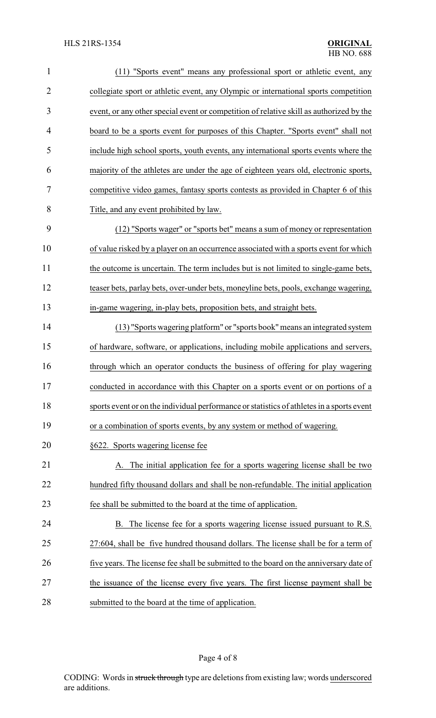| $\mathbf{1}$   | (11) "Sports event" means any professional sport or athletic event, any                   |
|----------------|-------------------------------------------------------------------------------------------|
| $\overline{2}$ | collegiate sport or athletic event, any Olympic or international sports competition       |
| 3              | event, or any other special event or competition of relative skill as authorized by the   |
| 4              | board to be a sports event for purposes of this Chapter. "Sports event" shall not         |
| 5              | include high school sports, youth events, any international sports events where the       |
| 6              | majority of the athletes are under the age of eighteen years old, electronic sports,      |
| 7              | competitive video games, fantasy sports contests as provided in Chapter 6 of this         |
| 8              | Title, and any event prohibited by law.                                                   |
| 9              | (12) "Sports wager" or "sports bet" means a sum of money or representation                |
| 10             | of value risked by a player on an occurrence associated with a sports event for which     |
| 11             | the outcome is uncertain. The term includes but is not limited to single-game bets,       |
| 12             | teaser bets, parlay bets, over-under bets, moneyline bets, pools, exchange wagering,      |
| 13             | in-game wagering, in-play bets, proposition bets, and straight bets.                      |
| 14             | (13) "Sports wagering platform" or "sports book" means an integrated system               |
| 15             | of hardware, software, or applications, including mobile applications and servers,        |
| 16             | through which an operator conducts the business of offering for play wagering             |
| 17             | conducted in accordance with this Chapter on a sports event or on portions of a           |
| 18             | sports event or on the individual performance or statistics of athletes in a sports event |
| 19             | or a combination of sports events, by any system or method of wagering.                   |
| 20             | §622. Sports wagering license fee                                                         |
| 21             | The initial application fee for a sports wagering license shall be two                    |
| 22             | hundred fifty thousand dollars and shall be non-refundable. The initial application       |
| 23             | fee shall be submitted to the board at the time of application.                           |
| 24             | B. The license fee for a sports wagering license issued pursuant to R.S.                  |
| 25             | 27:604, shall be five hundred thousand dollars. The license shall be for a term of        |
| 26             | five years. The license fee shall be submitted to the board on the anniversary date of    |
| 27             | the issuance of the license every five years. The first license payment shall be          |
| 28             | submitted to the board at the time of application.                                        |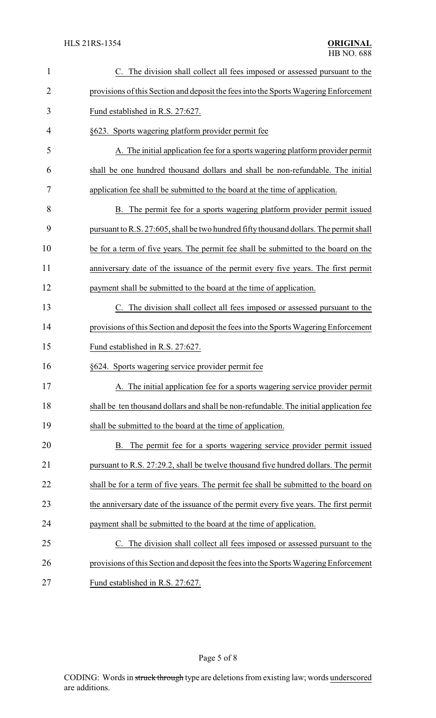| $\mathbf{1}$ | C. The division shall collect all fees imposed or assessed pursuant to the                |
|--------------|-------------------------------------------------------------------------------------------|
| 2            | provisions of this Section and deposit the fees into the Sports Wagering Enforcement      |
| 3            | Fund established in R.S. 27:627.                                                          |
| 4            | §623. Sports wagering platform provider permit fee                                        |
| 5            | A. The initial application fee for a sports wagering platform provider permit             |
| 6            | shall be one hundred thousand dollars and shall be non-refundable. The initial            |
| 7            | application fee shall be submitted to the board at the time of application.               |
| 8            | B. The permit fee for a sports wagering platform provider permit issued                   |
| 9            | pursuant to R.S. 27:605, shall be two hundred fifty thousand dollars. The permit shall    |
| 10           | be for a term of five years. The permit fee shall be submitted to the board on the        |
| 11           | anniversary date of the issuance of the permit every five years. The first permit         |
| 12           | payment shall be submitted to the board at the time of application.                       |
| 13           | The division shall collect all fees imposed or assessed pursuant to the<br>$\mathbf{C}$ . |
| 14           | provisions of this Section and deposit the fees into the Sports Wagering Enforcement      |
| 15           | Fund established in R.S. 27:627.                                                          |
| 16           | §624. Sports wagering service provider permit fee                                         |
| 17           | A. The initial application fee for a sports wagering service provider permit              |
| 18           | shall be ten thousand dollars and shall be non-refundable. The initial application fee    |
| 19           | shall be submitted to the board at the time of application.                               |
| 20           | B. The permit fee for a sports wagering service provider permit issued                    |
| 21           | pursuant to R.S. 27:29.2, shall be twelve thousand five hundred dollars. The permit       |
| 22           | shall be for a term of five years. The permit fee shall be submitted to the board on      |
| 23           | the anniversary date of the issuance of the permit every five years. The first permit     |
| 24           | payment shall be submitted to the board at the time of application.                       |
| 25           | The division shall collect all fees imposed or assessed pursuant to the<br>$\mathbf{C}$ . |
| 26           | provisions of this Section and deposit the fees into the Sports Wagering Enforcement      |
| 27           | Fund established in R.S. 27:627.                                                          |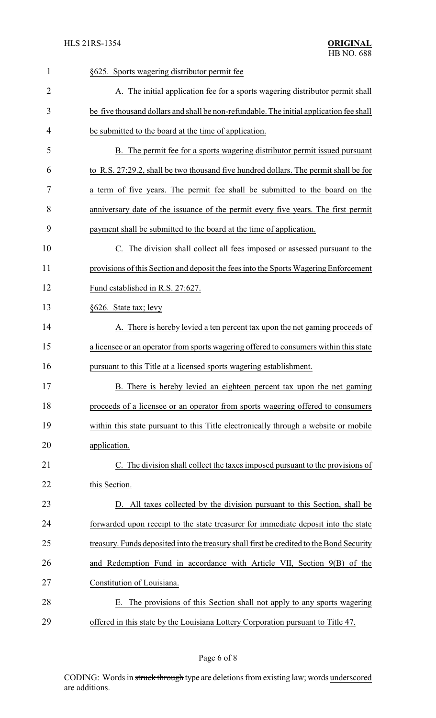| $\mathbf{1}$ | §625. Sports wagering distributor permit fee                                             |
|--------------|------------------------------------------------------------------------------------------|
| 2            | A. The initial application fee for a sports wagering distributor permit shall            |
| 3            | be five thousand dollars and shall be non-refundable. The initial application fee shall  |
| 4            | be submitted to the board at the time of application.                                    |
| 5            | B. The permit fee for a sports wagering distributor permit issued pursuant               |
| 6            | to R.S. 27:29.2, shall be two thousand five hundred dollars. The permit shall be for     |
| 7            | a term of five years. The permit fee shall be submitted to the board on the              |
| 8            | anniversary date of the issuance of the permit every five years. The first permit        |
| 9            | payment shall be submitted to the board at the time of application.                      |
| 10           | C. The division shall collect all fees imposed or assessed pursuant to the               |
| 11           | provisions of this Section and deposit the fees into the Sports Wagering Enforcement     |
| 12           | Fund established in R.S. 27:627.                                                         |
| 13           | §626. State tax; levy                                                                    |
| 14           | A. There is hereby levied a ten percent tax upon the net gaming proceeds of              |
| 15           | a licensee or an operator from sports wagering offered to consumers within this state    |
| 16           | pursuant to this Title at a licensed sports wagering establishment.                      |
| 17           | B. There is hereby levied an eighteen percent tax upon the net gaming                    |
| 18           | proceeds of a licensee or an operator from sports wagering offered to consumers          |
| 19           | within this state pursuant to this Title electronically through a website or mobile      |
| 20           | application.                                                                             |
| 21           | C. The division shall collect the taxes imposed pursuant to the provisions of            |
| 22           | this Section.                                                                            |
| 23           | D. All taxes collected by the division pursuant to this Section, shall be                |
| 24           | forwarded upon receipt to the state treasurer for immediate deposit into the state       |
| 25           | treasury. Funds deposited into the treasury shall first be credited to the Bond Security |
| 26           | and Redemption Fund in accordance with Article VII, Section 9(B) of the                  |
| 27           | Constitution of Louisiana.                                                               |
| 28           | E. The provisions of this Section shall not apply to any sports wagering                 |
| 29           | offered in this state by the Louisiana Lottery Corporation pursuant to Title 47.         |

# Page 6 of 8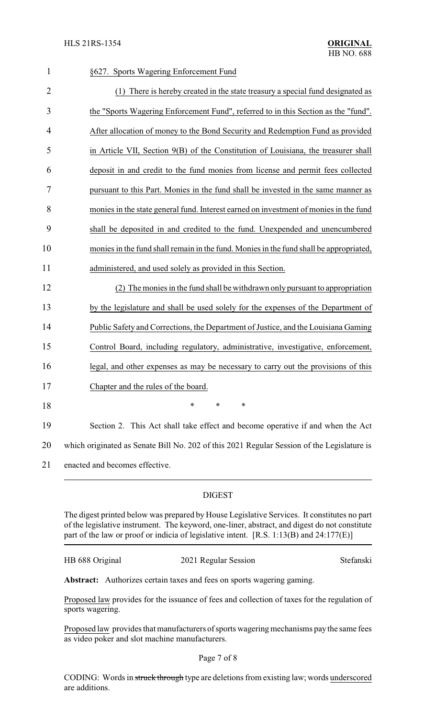| $\mathbf{1}$   | §627. Sports Wagering Enforcement Fund                                                     |
|----------------|--------------------------------------------------------------------------------------------|
| $\overline{2}$ | (1) There is hereby created in the state treasury a special fund designated as             |
| 3              | the "Sports Wagering Enforcement Fund", referred to in this Section as the "fund".         |
| $\overline{4}$ | After allocation of money to the Bond Security and Redemption Fund as provided             |
| 5              | in Article VII, Section 9(B) of the Constitution of Louisiana, the treasurer shall         |
| 6              | deposit in and credit to the fund monies from license and permit fees collected            |
| 7              | pursuant to this Part. Monies in the fund shall be invested in the same manner as          |
| 8              | monies in the state general fund. Interest earned on investment of monies in the fund      |
| 9              | shall be deposited in and credited to the fund. Unexpended and unencumbered                |
| 10             | monies in the fund shall remain in the fund. Monies in the fund shall be appropriated,     |
| 11             | administered, and used solely as provided in this Section.                                 |
| 12             | (2) The monies in the fund shall be withdrawn only pursuant to appropriation               |
| 13             | by the legislature and shall be used solely for the expenses of the Department of          |
| 14             | Public Safety and Corrections, the Department of Justice, and the Louisiana Gaming         |
| 15             | Control Board, including regulatory, administrative, investigative, enforcement,           |
| 16             | legal, and other expenses as may be necessary to carry out the provisions of this          |
| 17             | Chapter and the rules of the board.                                                        |
| 18             | *<br>∗<br>*                                                                                |
| 19             | Section 2. This Act shall take effect and become operative if and when the Act             |
| 20             | which originated as Senate Bill No. 202 of this 2021 Regular Session of the Legislature is |
| 21             | enacted and becomes effective.                                                             |
|                |                                                                                            |

#### DIGEST

The digest printed below was prepared by House Legislative Services. It constitutes no part of the legislative instrument. The keyword, one-liner, abstract, and digest do not constitute part of the law or proof or indicia of legislative intent. [R.S. 1:13(B) and 24:177(E)]

| HB 688 Original | 2021 Regular Session | Stefanski |
|-----------------|----------------------|-----------|
|                 |                      |           |

Abstract: Authorizes certain taxes and fees on sports wagering gaming.

Proposed law provides for the issuance of fees and collection of taxes for the regulation of sports wagering.

Proposed law provides that manufacturers of sports wagering mechanisms pay the same fees as video poker and slot machine manufacturers.

Page 7 of 8

CODING: Words in struck through type are deletions from existing law; words underscored are additions.